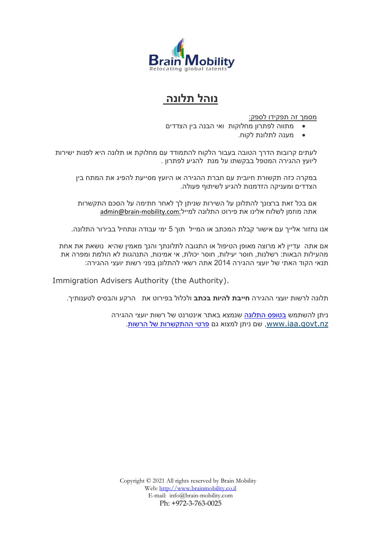

## **נוהל תלונה**

מסמך זה תפקידו לספק:

- מתווה לפתרון מחלוקות ואי הבנה בין הצדדים
	- מענה לתלונת לקוח.

לעתים קרובות הדרך הטובה בעבור הלקוח להתמודד עם מחלוקת או תלונה היא לפנות ישירות ליועץ ההגירה המטפל בבקשתו על מנת להגיע לפתרון .

במקרה כזה תקשורת חיובית עם חברת ההגירה או היועץ מסייעת להפיג את המתח בין הצדדים ומעניקה הזדמנות להגיע לשיתוף פעולה.

אם בכל זאת ברצונך להתלונן על השירות שניתן לך לאחר חתימה על הסכם התקשרות אתה מוזמן לשלוח אלינו את פירוט התלונה למייל:com.mobility-brain@admin

אנו נחזור אלייך עם אישור קבלת המכתב או המייל תוך 5 ימי עבודה ונתחיל בבירור התלונה.

אם אתה עדיין לא מרוצה מאופן הטיפול או התגובה לתלונתך והנך מאמין שהיא נושאת את אחת מהעילות הבאות: רשלנות, חוסר יעילות, חוסר יכולת, אי אמינות, התנהגות לא הולמת ומפרה את תנאי הקוד האתי של יועצי ההגירה 2014 אתה רשאי להתלונן בפני רשות יועצי ההגירה:

Immigration Advisers Authority (the Authority).

תלונה לרשות יועצי ההגירה **חייבת להיות בכתב** ולכלול בפירוט את הרקע והבסיס לטענותיך.

ניתן להשתמש [בטופס התלונה](http://www.iaa.govt.nz/forms/complaint-about-adviser.pdf) שנמצא באתר אינטרנט של רשות יועצי ההגירה www.iaa.govt.nz, שם ניתן למצוא גם [פרטי ההתקשרות של הרשות.](http://www.iaa.govt.nz/about/contact/index.asp)